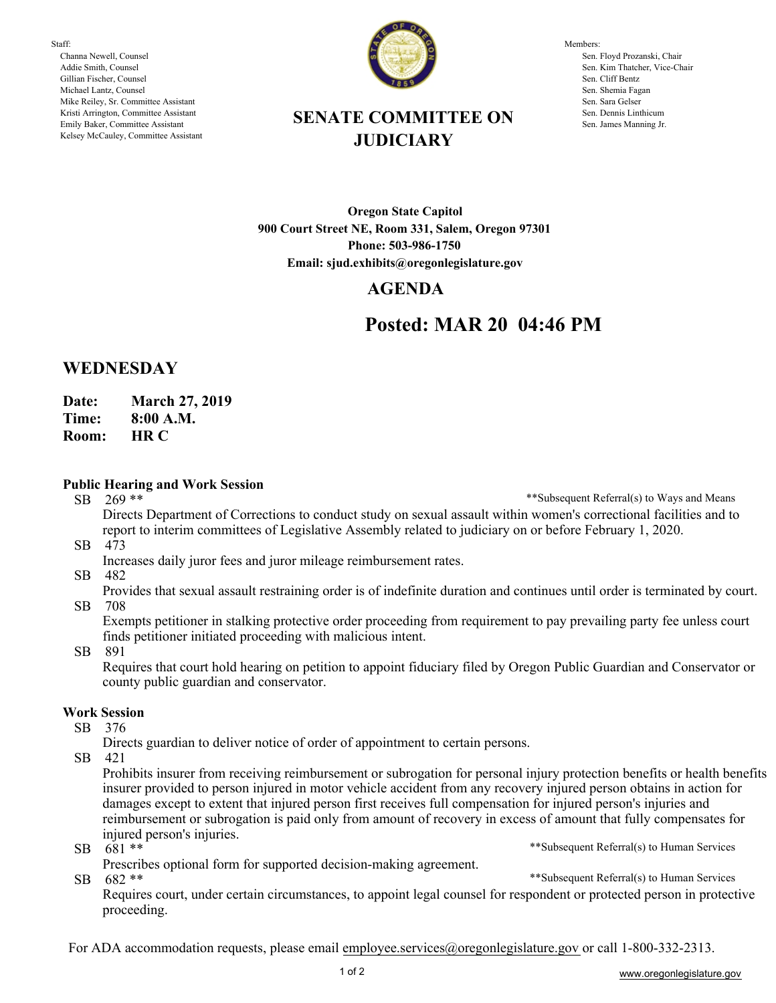Staff: Channa Newell, Counsel Addie Smith, Counsel Gillian Fischer, Counsel Michael Lantz, Counsel Mike Reiley, Sr. Committee Assistant Kristi Arrington, Committee Assistant Emily Baker, Committee Assistant Kelsey McCauley, Committee Assistant



Members: Sen. Floyd Prozanski, Chair Sen. Kim Thatcher, Vice-Chair Sen. Cliff Bentz Sen. Shemia Fagan Sen. Sara Gelser Sen. Dennis Linthicum Sen. James Manning Jr.

## **SENATE COMMITTEE ON JUDICIARY**

**Oregon State Capitol 900 Court Street NE, Room 331, Salem, Oregon 97301 Phone: 503-986-1750 Email: sjud.exhibits@oregonlegislature.gov**

## **AGENDA**

# **Posted: MAR 20 04:46 PM**

## **WEDNESDAY**

**Date: March 27, 2019**

**Time: 8:00 A.M.**

**HR C Room:** 

#### **Public Hearing and Work Session**

SB 269 \*\*

\*\*Subsequent Referral(s) to Ways and Means

SB 473 Directs Department of Corrections to conduct study on sexual assault within women's correctional facilities and to report to interim committees of Legislative Assembly related to judiciary on or before February 1, 2020.

- Increases daily juror fees and juror mileage reimbursement rates.
- SB 482

SB 708 Provides that sexual assault restraining order is of indefinite duration and continues until order is terminated by court.

Exempts petitioner in stalking protective order proceeding from requirement to pay prevailing party fee unless court finds petitioner initiated proceeding with malicious intent.

SB 891

Requires that court hold hearing on petition to appoint fiduciary filed by Oregon Public Guardian and Conservator or county public guardian and conservator.

### **Work Session**

SB 376

Directs guardian to deliver notice of order of appointment to certain persons.

SB 421

\*\*Subsequent Referral(s) to Human Services Prohibits insurer from receiving reimbursement or subrogation for personal injury protection benefits or health benefits insurer provided to person injured in motor vehicle accident from any recovery injured person obtains in action for damages except to extent that injured person first receives full compensation for injured person's injuries and reimbursement or subrogation is paid only from amount of recovery in excess of amount that fully compensates for injured person's injuries.

SB 681 \*\*

SB 682 \*\* Prescribes optional form for supported decision-making agreement.

\*\*Subsequent Referral(s) to Human Services

Requires court, under certain circumstances, to appoint legal counsel for respondent or protected person in protective proceeding.

For ADA accommodation requests, please email employee.services@oregonlegislature.gov or call 1-800-332-2313.